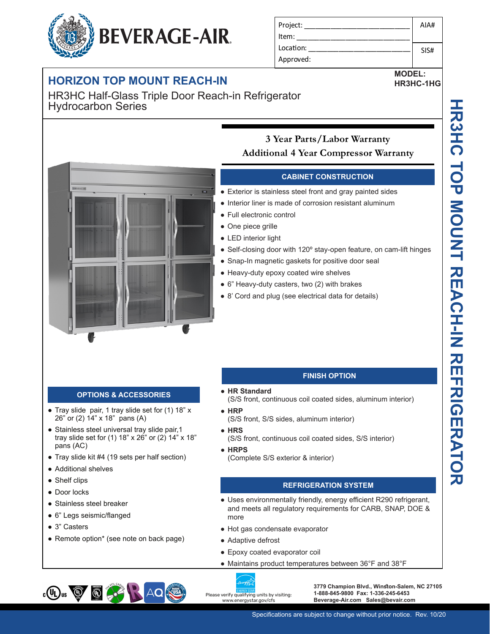## **HORIZON TOP MOUNT REACH-IN**

HR3HC Half-Glass Triple Door Reach-in Refrigerator Hydrocarbon Series

**Exit** 

## **3 Year Parts/Labor Warranty Additional 4 Year Compressor Warranty**

#### **CABINET CONSTRUCTION**

- Exterior is stainless steel front and gray painted sides
- Interior liner is made of corrosion resistant aluminum
- Full electronic control
- One piece grille
- LED interior light
- Self-closing door with 120° stay-open feature, on cam-lift hinges
- Snap-In magnetic gaskets for positive door seal
- Heavy-duty epoxy coated wire shelves
- 6" Heavy-duty casters, two (2) with brakes
- 8' Cord and plug (see electrical data for details)

#### **OPTIONS & ACCESSORIES**

- Tray slide pair, 1 tray slide set for (1) 18" x 26" or (2) 14" x 18" pans (A)
- Stainless steel universal tray slide pair, 1 tray slide set for (1) 18" x 26" or (2) 14" x 18" pans (AC)
- Tray slide kit #4 (19 sets per half section)
- Additional shelves
- Shelf clips
- Door locks
- Stainless steel breaker
- 6" Legs seismic/flanged

 $\bigcirc$ 

● 3" Casters

 $_{c}$ (U<sub>L</sub>)<sub>us</sub>  $\bigcircled{g}$ 

• Remote option\* (see note on back page)

#### **FINISH OPTION**

- **HR Standard**
- (S/S front, continuous coil coated sides, aluminum interior)
- **HRP**
- (S/S front, S/S sides, aluminum interior)
- **HRS**
- (S/S front, continuous coil coated sides, S/S interior)
- **HRPS** (Complete S/S exterior & interior)

### **REFRIGERATION SYSTEM**

- Uses environmentally friendly, energy efficient R290 refrigerant, and meets all regulatory requirements for CARB, SNAP, DOE & more
- Hot gas condensate evaporator
- Adaptive defrost
- Epoxy coated evaporator coil
- Maintains product temperatures between 36°F and 38°F



**3779 Champion Blvd., Winston-Salem, NC 27105 1-888-845-9800 Fax: 1-336-245-6453 Beverage-Air.com Sales@bevair.com**



**MODEL: HR3HC-1HG**